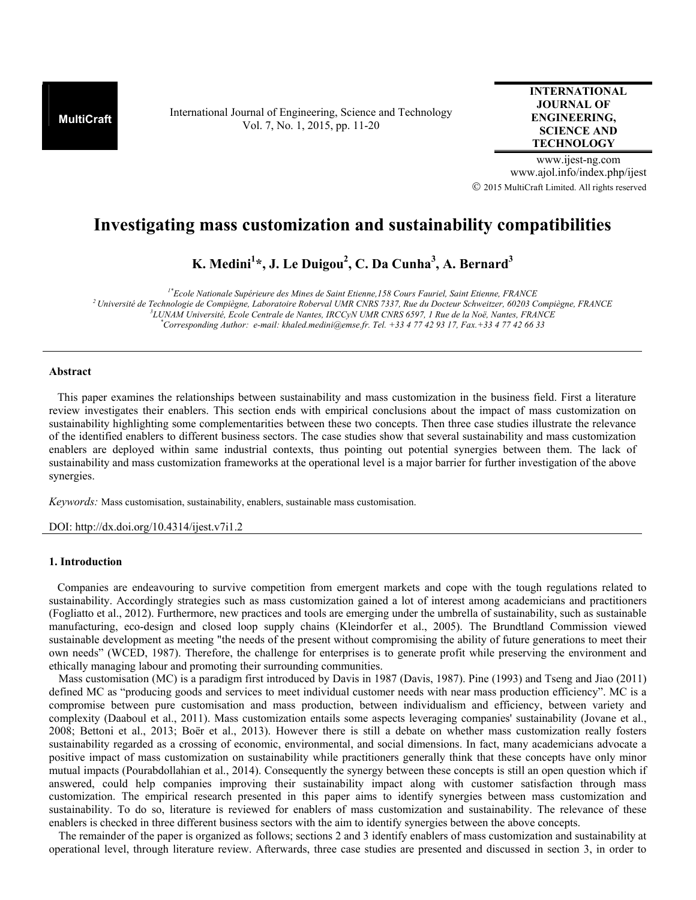**MultiCraft** International Journal of Engineering, Science and Technology Vol. 7, No. 1, 2015, pp. 11-20

**INTERNATIONAL JOURNAL OF ENGINEERING, SCIENCE AND TECHNOLOGY**

www.ijest-ng.com<br>www.ijest-ng.com www.ajol.info/index.php/ijest 2015 MultiCraft Limited. All rights reserved

# **Investigating mass customization and sustainability compatibilities**

 $\mathbf{K}.$  Medini<sup>1</sup>\*, J. Le Duigou<sup>2</sup>, C. Da Cunha<sup>3</sup>, A. Bernard<sup>3</sup>

<sup>1</sup>Ecole Nationale Supérieure des Mines de Saint Etienne, 158 Cours Fauriel, Saint Etienne, FRANCE<sup>1</sup><br>Université de Technologie de Compiègne, Laboratoire Roberval UMR CNRS 7337, Rue du Docteur Schweitzer, 60203 Compiègne, *LUNAM Université, Ecole Centrale de Nantes, IRCCyN UMR CNRS 6597, 1 Rue de la Noë, Nantes, FRANCE \* Corresponding Author: e-mail: khaled.medini@emse.fr. Tel. +33 4 77 42 93 17, Fax.+33 4 77 42 66 33*

## **Abstract**

 This paper examines the relationships between sustainability and mass customization in the business field. First a literature review investigates their enablers. This section ends with empirical conclusions about the impact of mass customization on sustainability highlighting some complementarities between these two concepts. Then three case studies illustrate the relevance of the identified enablers to different business sectors. The case studies show that several sustainability and mass customization enablers are deployed within same industrial contexts, thus pointing out potential synergies between them. The lack of sustainability and mass customization frameworks at the operational level is a major barrier for further investigation of the above synergies.

*Keywords:* Mass customisation, sustainability, enablers, sustainable mass customisation.

## DOI: http://dx.doi.org/10.4314/ijest.v7i1.2

# **1. Introduction**

 Companies are endeavouring to survive competition from emergent markets and cope with the tough regulations related to sustainability. Accordingly strategies such as mass customization gained a lot of interest among academicians and practitioners (Fogliatto et al., 2012). Furthermore, new practices and tools are emerging under the umbrella of sustainability, such as sustainable manufacturing, eco-design and closed loop supply chains (Kleindorfer et al., 2005). The Brundtland Commission viewed sustainable development as meeting "the needs of the present without compromising the ability of future generations to meet their own needs" (WCED, 1987). Therefore, the challenge for enterprises is to generate profit while preserving the environment and ethically managing labour and promoting their surrounding communities.

Mass customisation (MC) is a paradigm first introduced by Davis in 1987 (Davis, 1987). Pine (1993) and Tseng and Jiao (2011) defined MC as "producing goods and services to meet individual customer needs with near mass production efficiency". MC is a compromise between pure customisation and mass production, between individualism and efficiency, between variety and complexity (Daaboul et al., 2011). Mass customization entails some aspects leveraging companies' sustainability (Jovane et al., 2008; Bettoni et al., 2013; Boër et al., 2013). However there is still a debate on whether mass customization really fosters sustainability regarded as a crossing of economic, environmental, and social dimensions. In fact, many academicians advocate a positive impact of mass customization on sustainability while practitioners generally think that these concepts have only minor mutual impacts (Pourabdollahian et al., 2014). Consequently the synergy between these concepts is still an open question which if answered, could help companies improving their sustainability impact along with customer satisfaction through mass customization. The empirical research presented in this paper aims to identify synergies between mass customization and sustainability. To do so, literature is reviewed for enablers of mass customization and sustainability. The relevance of these enablers is checked in three different business sectors with the aim to identify synergies between the above concepts.

The remainder of the paper is organized as follows; sections 2 and 3 identify enablers of mass customization and sustainability at operational level, through literature review. Afterwards, three case studies are presented and discussed in section 3, in order to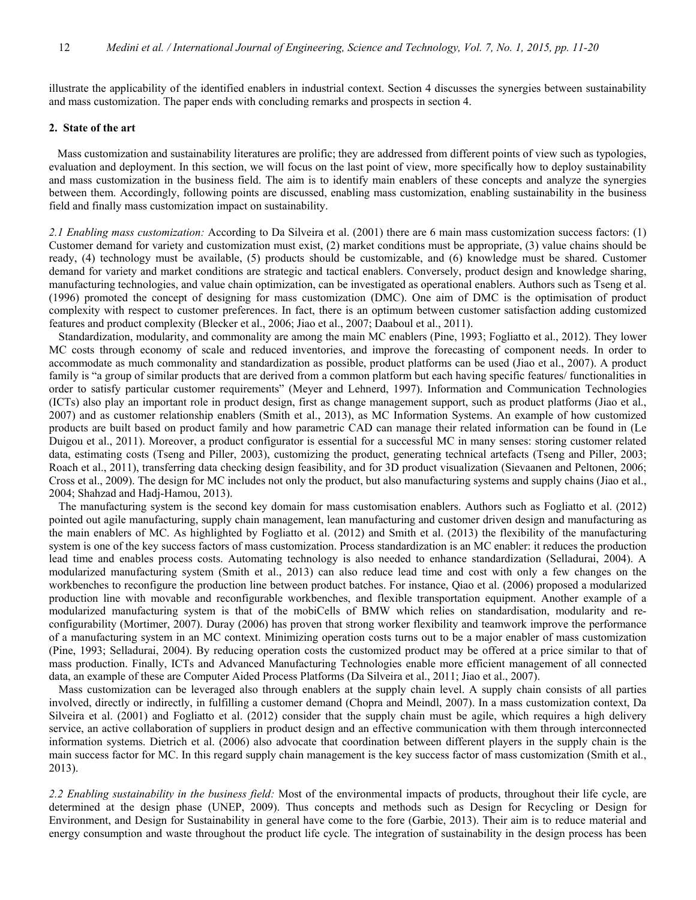illustrate the applicability of the identified enablers in industrial context. Section 4 discusses the synergies between sustainability and mass customization. The paper ends with concluding remarks and prospects in section 4.

## **2. State of the art**

 Mass customization and sustainability literatures are prolific; they are addressed from different points of view such as typologies, evaluation and deployment. In this section, we will focus on the last point of view, more specifically how to deploy sustainability and mass customization in the business field. The aim is to identify main enablers of these concepts and analyze the synergies between them. Accordingly, following points are discussed, enabling mass customization, enabling sustainability in the business field and finally mass customization impact on sustainability.

*2.1 Enabling mass customization:* According to Da Silveira et al. (2001) there are 6 main mass customization success factors: (1) Customer demand for variety and customization must exist, (2) market conditions must be appropriate, (3) value chains should be ready, (4) technology must be available, (5) products should be customizable, and (6) knowledge must be shared. Customer demand for variety and market conditions are strategic and tactical enablers. Conversely, product design and knowledge sharing, manufacturing technologies, and value chain optimization, can be investigated as operational enablers. Authors such as Tseng et al. (1996) promoted the concept of designing for mass customization (DMC). One aim of DMC is the optimisation of product complexity with respect to customer preferences. In fact, there is an optimum between customer satisfaction adding customized features and product complexity (Blecker et al., 2006; Jiao et al., 2007; Daaboul et al., 2011).

Standardization, modularity, and commonality are among the main MC enablers (Pine, 1993; Fogliatto et al., 2012). They lower MC costs through economy of scale and reduced inventories, and improve the forecasting of component needs. In order to accommodate as much commonality and standardization as possible, product platforms can be used (Jiao et al., 2007). A product family is "a group of similar products that are derived from a common platform but each having specific features/ functionalities in order to satisfy particular customer requirements" (Meyer and Lehnerd, 1997). Information and Communication Technologies (ICTs) also play an important role in product design, first as change management support, such as product platforms (Jiao et al., 2007) and as customer relationship enablers (Smith et al., 2013), as MC Information Systems. An example of how customized products are built based on product family and how parametric CAD can manage their related information can be found in (Le Duigou et al., 2011). Moreover, a product configurator is essential for a successful MC in many senses: storing customer related data, estimating costs (Tseng and Piller, 2003), customizing the product, generating technical artefacts (Tseng and Piller, 2003; Roach et al., 2011), transferring data checking design feasibility, and for 3D product visualization (Sievaanen and Peltonen, 2006; Cross et al., 2009). The design for MC includes not only the product, but also manufacturing systems and supply chains (Jiao et al., 2004; Shahzad and Hadj-Hamou, 2013).

The manufacturing system is the second key domain for mass customisation enablers. Authors such as Fogliatto et al. (2012) pointed out agile manufacturing, supply chain management, lean manufacturing and customer driven design and manufacturing as the main enablers of MC. As highlighted by Fogliatto et al. (2012) and Smith et al. (2013) the flexibility of the manufacturing system is one of the key success factors of mass customization. Process standardization is an MC enabler: it reduces the production lead time and enables process costs. Automating technology is also needed to enhance standardization (Selladurai, 2004). A modularized manufacturing system (Smith et al., 2013) can also reduce lead time and cost with only a few changes on the workbenches to reconfigure the production line between product batches. For instance, Qiao et al. (2006) proposed a modularized production line with movable and reconfigurable workbenches, and flexible transportation equipment. Another example of a modularized manufacturing system is that of the mobiCells of BMW which relies on standardisation, modularity and reconfigurability (Mortimer, 2007). Duray (2006) has proven that strong worker flexibility and teamwork improve the performance of a manufacturing system in an MC context. Minimizing operation costs turns out to be a major enabler of mass customization (Pine, 1993; Selladurai, 2004). By reducing operation costs the customized product may be offered at a price similar to that of mass production. Finally, ICTs and Advanced Manufacturing Technologies enable more efficient management of all connected data, an example of these are Computer Aided Process Platforms (Da Silveira et al., 2011; Jiao et al., 2007).

Mass customization can be leveraged also through enablers at the supply chain level. A supply chain consists of all parties involved, directly or indirectly, in fulfilling a customer demand (Chopra and Meindl, 2007). In a mass customization context, Da Silveira et al. (2001) and Fogliatto et al. (2012) consider that the supply chain must be agile, which requires a high delivery service, an active collaboration of suppliers in product design and an effective communication with them through interconnected information systems. Dietrich et al. (2006) also advocate that coordination between different players in the supply chain is the main success factor for MC. In this regard supply chain management is the key success factor of mass customization (Smith et al., 2013).

*2.2 Enabling sustainability in the business field:* Most of the environmental impacts of products, throughout their life cycle, are determined at the design phase (UNEP, 2009). Thus concepts and methods such as Design for Recycling or Design for Environment, and Design for Sustainability in general have come to the fore (Garbie, 2013). Their aim is to reduce material and energy consumption and waste throughout the product life cycle. The integration of sustainability in the design process has been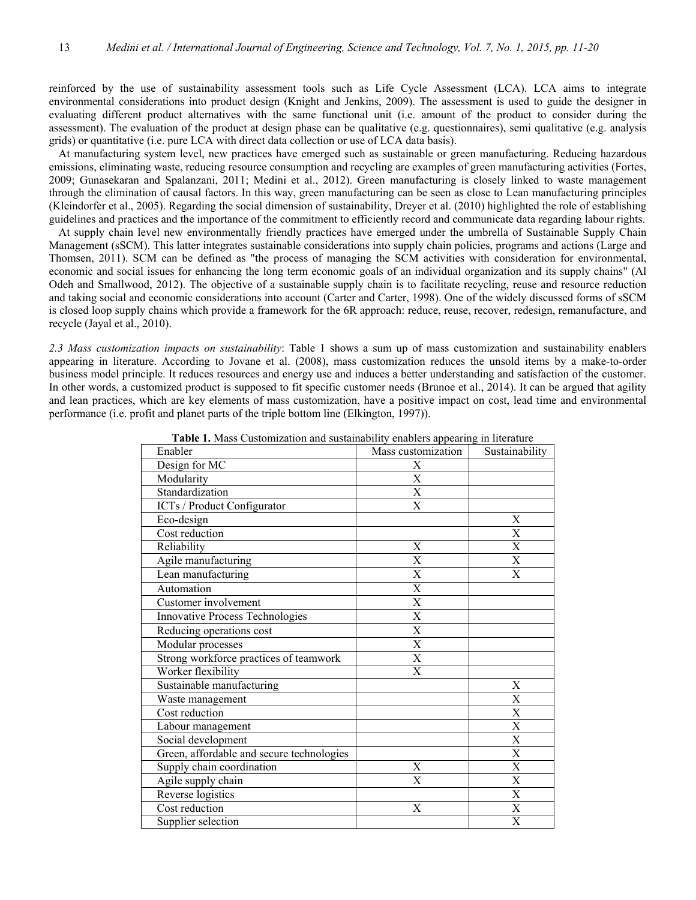reinforced by the use of sustainability assessment tools such as Life Cycle Assessment (LCA). LCA aims to integrate environmental considerations into product design (Knight and Jenkins, 2009). The assessment is used to guide the designer in evaluating different product alternatives with the same functional unit (i.e. amount of the product to consider during the assessment). The evaluation of the product at design phase can be qualitative (e.g. questionnaires), semi qualitative (e.g. analysis grids) or quantitative (i.e. pure LCA with direct data collection or use of LCA data basis).

At manufacturing system level, new practices have emerged such as sustainable or green manufacturing. Reducing hazardous emissions, eliminating waste, reducing resource consumption and recycling are examples of green manufacturing activities (Fortes, 2009; Gunasekaran and Spalanzani, 2011; Medini et al., 2012). Green manufacturing is closely linked to waste management through the elimination of causal factors. In this way, green manufacturing can be seen as close to Lean manufacturing principles (Kleindorfer et al., 2005). Regarding the social dimension of sustainability, Dreyer et al. (2010) highlighted the role of establishing guidelines and practices and the importance of the commitment to efficiently record and communicate data regarding labour rights.

At supply chain level new environmentally friendly practices have emerged under the umbrella of Sustainable Supply Chain Management (sSCM). This latter integrates sustainable considerations into supply chain policies, programs and actions (Large and Thomsen, 2011). SCM can be defined as "the process of managing the SCM activities with consideration for environmental, economic and social issues for enhancing the long term economic goals of an individual organization and its supply chains" (Al Odeh and Smallwood, 2012). The objective of a sustainable supply chain is to facilitate recycling, reuse and resource reduction and taking social and economic considerations into account (Carter and Carter, 1998). One of the widely discussed forms of sSCM is closed loop supply chains which provide a framework for the 6R approach: reduce, reuse, recover, redesign, remanufacture, and recycle (Jayal et al., 2010).

*2.3 Mass customization impacts on sustainability*: Table 1 shows a sum up of mass customization and sustainability enablers appearing in literature. According to Jovane et al. (2008), mass customization reduces the unsold items by a make-to-order business model principle. It reduces resources and energy use and induces a better understanding and satisfaction of the customer. In other words, a customized product is supposed to fit specific customer needs (Brunoe et al., 2014). It can be argued that agility and lean practices, which are key elements of mass customization, have a positive impact on cost, lead time and environmental performance (i.e. profit and planet parts of the triple bottom line (Elkington, 1997)).

| Enabler                                   | Mass customization        | Sustainability |  |  |
|-------------------------------------------|---------------------------|----------------|--|--|
| Design for MC                             | X                         |                |  |  |
| Modularity                                | $\boldsymbol{\mathrm{X}}$ |                |  |  |
| Standardization                           | X                         |                |  |  |
| ICTs / Product Configurator               | $\overline{\mathrm{X}}$   |                |  |  |
| Eco-design                                |                           | X              |  |  |
| Cost reduction                            |                           | X              |  |  |
| Reliability                               | X                         | X              |  |  |
| Agile manufacturing                       | X                         | X              |  |  |
| Lean manufacturing                        | $\mathbf X$               | X              |  |  |
| Automation                                | $\boldsymbol{\mathrm{X}}$ |                |  |  |
| Customer involvement                      | X                         |                |  |  |
| <b>Innovative Process Technologies</b>    | X                         |                |  |  |
| Reducing operations cost                  | X                         |                |  |  |
| Modular processes                         | $\mathbf X$               |                |  |  |
| Strong workforce practices of teamwork    | X                         |                |  |  |
| Worker flexibility                        | X                         |                |  |  |
| Sustainable manufacturing                 |                           | $\mathbf X$    |  |  |
| Waste management                          |                           | X              |  |  |
| Cost reduction                            |                           | $\mathbf X$    |  |  |
| Labour management                         |                           | $\mathbf X$    |  |  |
| Social development                        |                           | $\mathbf X$    |  |  |
| Green, affordable and secure technologies |                           | $\overline{X}$ |  |  |
| Supply chain coordination                 | X                         | X              |  |  |
| Agile supply chain                        | X                         | $\mathbf X$    |  |  |
| Reverse logistics                         |                           | $\mathbf X$    |  |  |
| Cost reduction                            | X                         | X              |  |  |
| Supplier selection                        |                           | X              |  |  |

**Table 1.** Mass Customization and sustainability enablers appearing in literature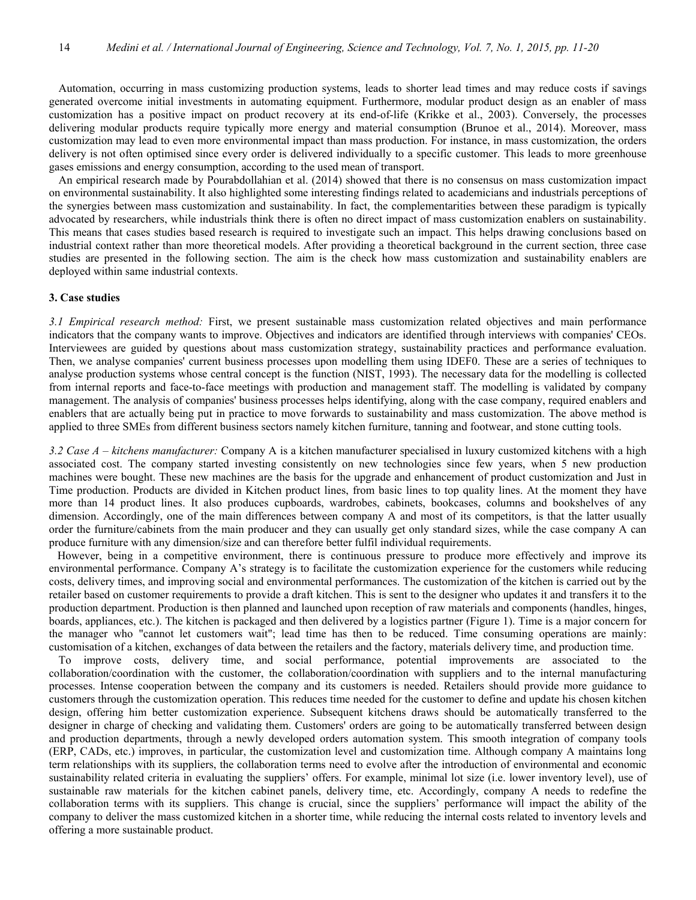Automation, occurring in mass customizing production systems, leads to shorter lead times and may reduce costs if savings generated overcome initial investments in automating equipment. Furthermore, modular product design as an enabler of mass customization has a positive impact on product recovery at its end-of-life (Krikke et al., 2003). Conversely, the processes delivering modular products require typically more energy and material consumption (Brunoe et al., 2014). Moreover, mass customization may lead to even more environmental impact than mass production. For instance, in mass customization, the orders delivery is not often optimised since every order is delivered individually to a specific customer. This leads to more greenhouse gases emissions and energy consumption, according to the used mean of transport.

An empirical research made by Pourabdollahian et al. (2014) showed that there is no consensus on mass customization impact on environmental sustainability. It also highlighted some interesting findings related to academicians and industrials perceptions of the synergies between mass customization and sustainability. In fact, the complementarities between these paradigm is typically advocated by researchers, while industrials think there is often no direct impact of mass customization enablers on sustainability. This means that cases studies based research is required to investigate such an impact. This helps drawing conclusions based on industrial context rather than more theoretical models. After providing a theoretical background in the current section, three case studies are presented in the following section. The aim is the check how mass customization and sustainability enablers are deployed within same industrial contexts.

## **3. Case studies**

*3.1 Empirical research method:* First, we present sustainable mass customization related objectives and main performance indicators that the company wants to improve. Objectives and indicators are identified through interviews with companies' CEOs. Interviewees are guided by questions about mass customization strategy, sustainability practices and performance evaluation. Then, we analyse companies' current business processes upon modelling them using IDEF0. These are a series of techniques to analyse production systems whose central concept is the function (NIST, 1993). The necessary data for the modelling is collected from internal reports and face-to-face meetings with production and management staff. The modelling is validated by company management. The analysis of companies' business processes helps identifying, along with the case company, required enablers and enablers that are actually being put in practice to move forwards to sustainability and mass customization. The above method is applied to three SMEs from different business sectors namely kitchen furniture, tanning and footwear, and stone cutting tools.

*3.2 Case A – kitchens manufacturer:* Company A is a kitchen manufacturer specialised in luxury customized kitchens with a high associated cost. The company started investing consistently on new technologies since few years, when 5 new production machines were bought. These new machines are the basis for the upgrade and enhancement of product customization and Just in Time production. Products are divided in Kitchen product lines, from basic lines to top quality lines. At the moment they have more than 14 product lines. It also produces cupboards, wardrobes, cabinets, bookcases, columns and bookshelves of any dimension. Accordingly, one of the main differences between company A and most of its competitors, is that the latter usually order the furniture/cabinets from the main producer and they can usually get only standard sizes, while the case company A can produce furniture with any dimension/size and can therefore better fulfil individual requirements.

 However, being in a competitive environment, there is continuous pressure to produce more effectively and improve its environmental performance. Company A's strategy is to facilitate the customization experience for the customers while reducing costs, delivery times, and improving social and environmental performances. The customization of the kitchen is carried out by the retailer based on customer requirements to provide a draft kitchen. This is sent to the designer who updates it and transfers it to the production department. Production is then planned and launched upon reception of raw materials and components (handles, hinges, boards, appliances, etc.). The kitchen is packaged and then delivered by a logistics partner (Figure 1). Time is a major concern for the manager who "cannot let customers wait"; lead time has then to be reduced. Time consuming operations are mainly: customisation of a kitchen, exchanges of data between the retailers and the factory, materials delivery time, and production time.

To improve costs, delivery time, and social performance, potential improvements are associated to the collaboration/coordination with the customer, the collaboration/coordination with suppliers and to the internal manufacturing processes. Intense cooperation between the company and its customers is needed. Retailers should provide more guidance to customers through the customization operation. This reduces time needed for the customer to define and update his chosen kitchen design, offering him better customization experience. Subsequent kitchens draws should be automatically transferred to the designer in charge of checking and validating them. Customers' orders are going to be automatically transferred between design and production departments, through a newly developed orders automation system. This smooth integration of company tools (ERP, CADs, etc.) improves, in particular, the customization level and customization time. Although company A maintains long term relationships with its suppliers, the collaboration terms need to evolve after the introduction of environmental and economic sustainability related criteria in evaluating the suppliers' offers. For example, minimal lot size (i.e. lower inventory level), use of sustainable raw materials for the kitchen cabinet panels, delivery time, etc. Accordingly, company A needs to redefine the collaboration terms with its suppliers. This change is crucial, since the suppliers' performance will impact the ability of the company to deliver the mass customized kitchen in a shorter time, while reducing the internal costs related to inventory levels and offering a more sustainable product.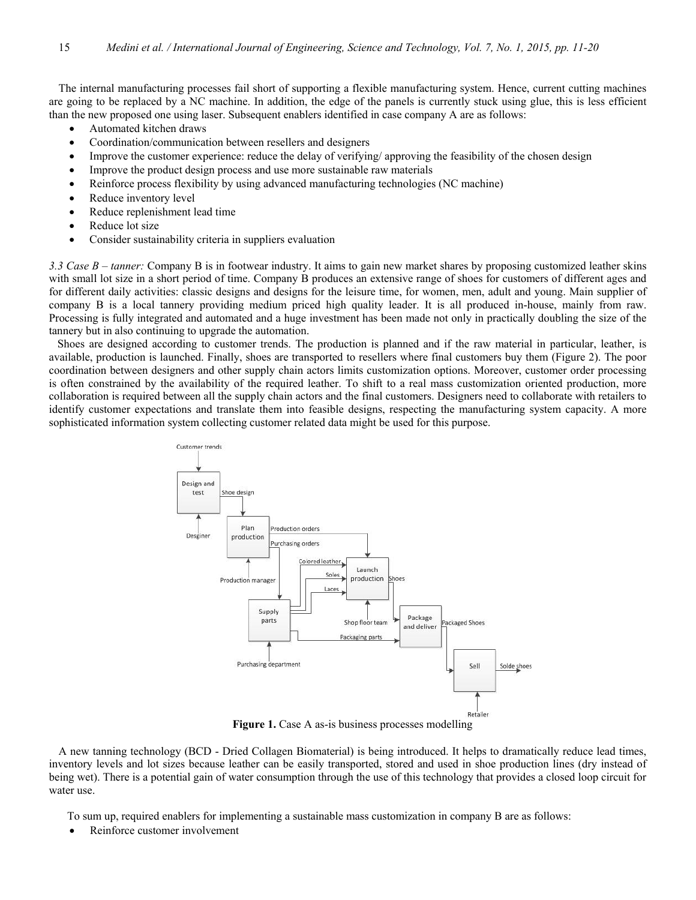The internal manufacturing processes fail short of supporting a flexible manufacturing system. Hence, current cutting machines are going to be replaced by a NC machine. In addition, the edge of the panels is currently stuck using glue, this is less efficient than the new proposed one using laser. Subsequent enablers identified in case company A are as follows:

- Automated kitchen draws
- Coordination/communication between resellers and designers
- Improve the customer experience: reduce the delay of verifying/ approving the feasibility of the chosen design
- Improve the product design process and use more sustainable raw materials
- Reinforce process flexibility by using advanced manufacturing technologies (NC machine)
- Reduce inventory level
- Reduce replenishment lead time
- Reduce lot size
- Consider sustainability criteria in suppliers evaluation

*3.3 Case B – tanner:* Company B is in footwear industry. It aims to gain new market shares by proposing customized leather skins with small lot size in a short period of time. Company B produces an extensive range of shoes for customers of different ages and for different daily activities: classic designs and designs for the leisure time, for women, men, adult and young. Main supplier of company B is a local tannery providing medium priced high quality leader. It is all produced in-house, mainly from raw. Processing is fully integrated and automated and a huge investment has been made not only in practically doubling the size of the tannery but in also continuing to upgrade the automation.

 Shoes are designed according to customer trends. The production is planned and if the raw material in particular, leather, is available, production is launched. Finally, shoes are transported to resellers where final customers buy them (Figure 2). The poor coordination between designers and other supply chain actors limits customization options. Moreover, customer order processing is often constrained by the availability of the required leather. To shift to a real mass customization oriented production, more collaboration is required between all the supply chain actors and the final customers. Designers need to collaborate with retailers to identify customer expectations and translate them into feasible designs, respecting the manufacturing system capacity. A more sophisticated information system collecting customer related data might be used for this purpose.



Figure 1. Case A as-is business processes modelling

A new tanning technology (BCD - Dried Collagen Biomaterial) is being introduced. It helps to dramatically reduce lead times, inventory levels and lot sizes because leather can be easily transported, stored and used in shoe production lines (dry instead of being wet). There is a potential gain of water consumption through the use of this technology that provides a closed loop circuit for water use.

To sum up, required enablers for implementing a sustainable mass customization in company B are as follows:

Reinforce customer involvement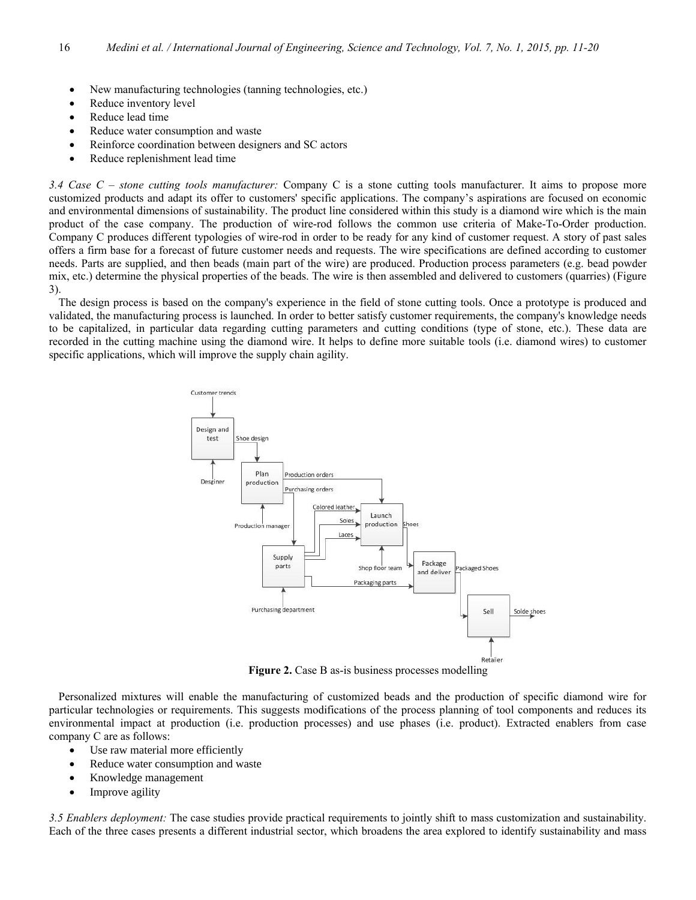- New manufacturing technologies (tanning technologies, etc.)
- Reduce inventory level
- Reduce lead time
- Reduce water consumption and waste
- Reinforce coordination between designers and SC actors
- Reduce replenishment lead time

*3.4 Case C – stone cutting tools manufacturer:* Company C is a stone cutting tools manufacturer. It aims to propose more customized products and adapt its offer to customers' specific applications. The company's aspirations are focused on economic and environmental dimensions of sustainability. The product line considered within this study is a diamond wire which is the main product of the case company. The production of wire-rod follows the common use criteria of Make-To-Order production. Company C produces different typologies of wire-rod in order to be ready for any kind of customer request. A story of past sales offers a firm base for a forecast of future customer needs and requests. The wire specifications are defined according to customer needs. Parts are supplied, and then beads (main part of the wire) are produced. Production process parameters (e.g. bead powder mix, etc.) determine the physical properties of the beads. The wire is then assembled and delivered to customers (quarries) (Figure 3).

The design process is based on the company's experience in the field of stone cutting tools. Once a prototype is produced and validated, the manufacturing process is launched. In order to better satisfy customer requirements, the company's knowledge needs to be capitalized, in particular data regarding cutting parameters and cutting conditions (type of stone, etc.). These data are recorded in the cutting machine using the diamond wire. It helps to define more suitable tools (i.e. diamond wires) to customer specific applications, which will improve the supply chain agility.



**Figure 2.** Case B as-is business processes modelling

Personalized mixtures will enable the manufacturing of customized beads and the production of specific diamond wire for particular technologies or requirements. This suggests modifications of the process planning of tool components and reduces its environmental impact at production (i.e. production processes) and use phases (i.e. product). Extracted enablers from case company C are as follows:

- Use raw material more efficiently
- Reduce water consumption and waste
- Knowledge management
- Improve agility

*3.5 Enablers deployment:* The case studies provide practical requirements to jointly shift to mass customization and sustainability. Each of the three cases presents a different industrial sector, which broadens the area explored to identify sustainability and mass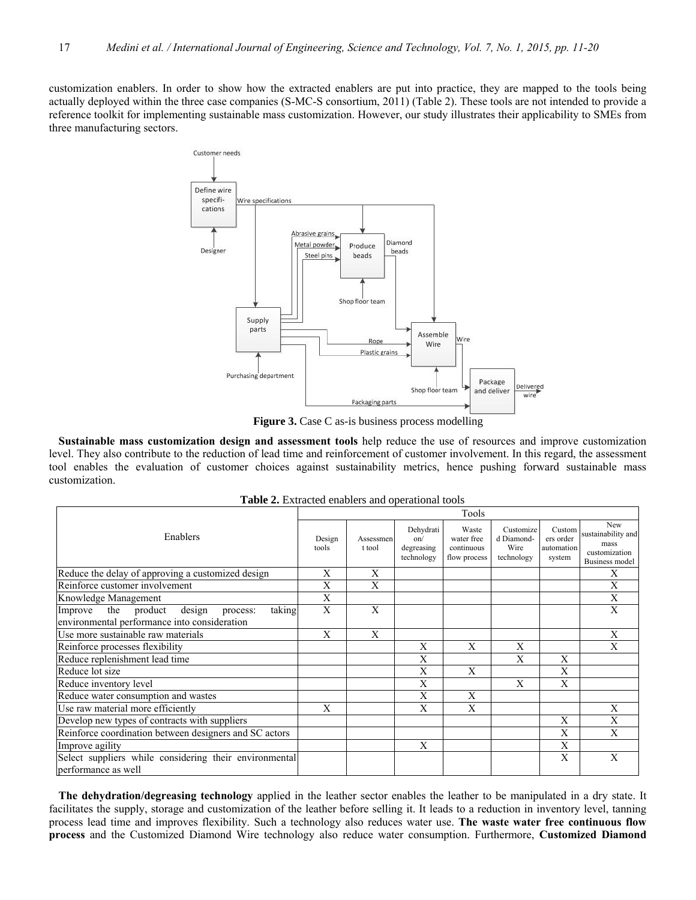customization enablers. In order to show how the extracted enablers are put into practice, they are mapped to the tools being actually deployed within the three case companies (S-MC-S consortium, 2011) (Table 2). These tools are not intended to provide a reference toolkit for implementing sustainable mass customization. However, our study illustrates their applicability to SMEs from three manufacturing sectors.



Figure 3. Case C as-is business process modelling

**Sustainable mass customization design and assessment tools** help reduce the use of resources and improve customization level. They also contribute to the reduction of lead time and reinforcement of customer involvement. In this regard, the assessment tool enables the evaluation of customer choices against sustainability metrics, hence pushing forward sustainable mass customization.

|                                                                                                           | Tools           |                     |                                                   |                                                   |                                               |                                             |                                                                      |  |  |
|-----------------------------------------------------------------------------------------------------------|-----------------|---------------------|---------------------------------------------------|---------------------------------------------------|-----------------------------------------------|---------------------------------------------|----------------------------------------------------------------------|--|--|
| Enablers                                                                                                  | Design<br>tools | Assessmen<br>t tool | Dehydrati<br>$\alpha$<br>degreasing<br>technology | Waste<br>water free<br>continuous<br>flow process | Customize<br>d Diamond-<br>Wire<br>technology | Custom<br>ers order<br>automation<br>system | New<br>sustainability and<br>mass<br>customization<br>Business model |  |  |
| Reduce the delay of approving a customized design                                                         | X               | X                   |                                                   |                                                   |                                               |                                             | X                                                                    |  |  |
| Reinforce customer involvement                                                                            | X               | X                   |                                                   |                                                   |                                               |                                             | X                                                                    |  |  |
| Knowledge Management                                                                                      | X               |                     |                                                   |                                                   |                                               |                                             | X                                                                    |  |  |
| taking<br>the<br>product<br>design<br>Improve<br>process:<br>environmental performance into consideration | X               | X                   |                                                   |                                                   |                                               |                                             | X                                                                    |  |  |
| Use more sustainable raw materials                                                                        | X               | X                   |                                                   |                                                   |                                               |                                             | X                                                                    |  |  |
| Reinforce processes flexibility                                                                           |                 |                     | X                                                 | X                                                 | X                                             |                                             | X                                                                    |  |  |
| Reduce replenishment lead time                                                                            |                 |                     | X                                                 |                                                   | X                                             | X                                           |                                                                      |  |  |
| Reduce lot size                                                                                           |                 |                     | X                                                 | X                                                 |                                               | X                                           |                                                                      |  |  |
| Reduce inventory level                                                                                    |                 |                     | X                                                 |                                                   | X                                             | X                                           |                                                                      |  |  |
| Reduce water consumption and wastes                                                                       |                 |                     | X                                                 | X                                                 |                                               |                                             |                                                                      |  |  |
| Use raw material more efficiently                                                                         | X               |                     | Х                                                 | X                                                 |                                               |                                             | X                                                                    |  |  |
| Develop new types of contracts with suppliers                                                             |                 |                     |                                                   |                                                   |                                               | X                                           | X                                                                    |  |  |
| Reinforce coordination between designers and SC actors                                                    |                 |                     |                                                   |                                                   |                                               | X                                           | X                                                                    |  |  |
| Improve agility                                                                                           |                 |                     | X                                                 |                                                   |                                               | X                                           |                                                                      |  |  |
| Select suppliers while considering their environmental<br>performance as well                             |                 |                     |                                                   |                                                   |                                               | X                                           | X                                                                    |  |  |

**Table 2.** Extracted enablers and operational tools

**The dehydration/degreasing technology** applied in the leather sector enables the leather to be manipulated in a dry state. It facilitates the supply, storage and customization of the leather before selling it. It leads to a reduction in inventory level, tanning process lead time and improves flexibility. Such a technology also reduces water use. **The waste water free continuous flow process** and the Customized Diamond Wire technology also reduce water consumption. Furthermore, **Customized Diamond**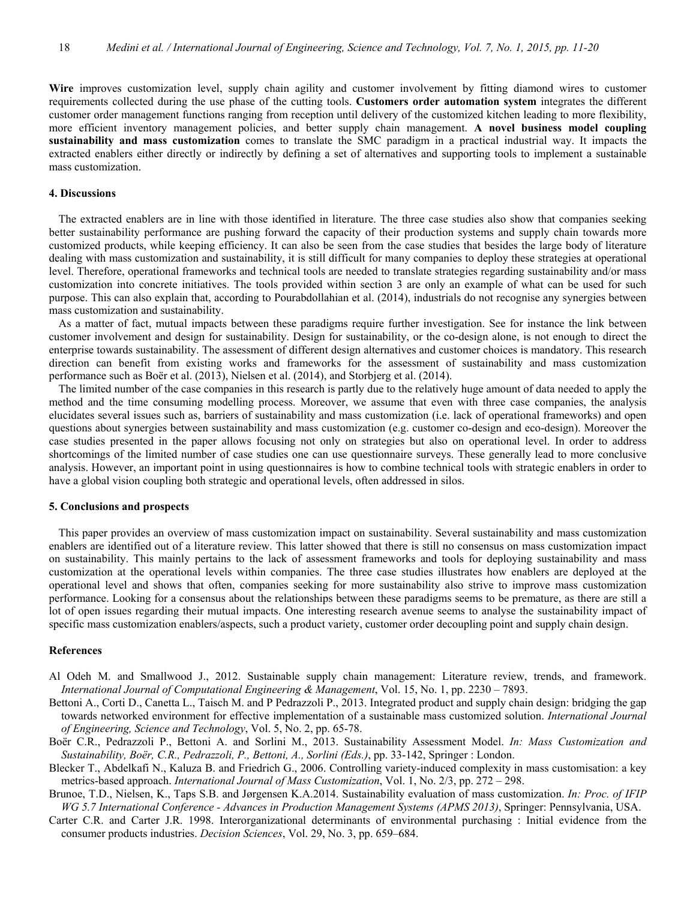**Wire** improves customization level, supply chain agility and customer involvement by fitting diamond wires to customer requirements collected during the use phase of the cutting tools. **Customers order automation system** integrates the different customer order management functions ranging from reception until delivery of the customized kitchen leading to more flexibility, more efficient inventory management policies, and better supply chain management. **A novel business model coupling sustainability and mass customization** comes to translate the SMC paradigm in a practical industrial way. It impacts the extracted enablers either directly or indirectly by defining a set of alternatives and supporting tools to implement a sustainable mass customization.

# **4. Discussions**

The extracted enablers are in line with those identified in literature. The three case studies also show that companies seeking better sustainability performance are pushing forward the capacity of their production systems and supply chain towards more customized products, while keeping efficiency. It can also be seen from the case studies that besides the large body of literature dealing with mass customization and sustainability, it is still difficult for many companies to deploy these strategies at operational level. Therefore, operational frameworks and technical tools are needed to translate strategies regarding sustainability and/or mass customization into concrete initiatives. The tools provided within section 3 are only an example of what can be used for such purpose. This can also explain that, according to Pourabdollahian et al. (2014), industrials do not recognise any synergies between mass customization and sustainability.

As a matter of fact, mutual impacts between these paradigms require further investigation. See for instance the link between customer involvement and design for sustainability. Design for sustainability, or the co-design alone, is not enough to direct the enterprise towards sustainability. The assessment of different design alternatives and customer choices is mandatory. This research direction can benefit from existing works and frameworks for the assessment of sustainability and mass customization performance such as Boër et al. (2013), Nielsen et al. (2014), and Storbjerg et al. (2014).

The limited number of the case companies in this research is partly due to the relatively huge amount of data needed to apply the method and the time consuming modelling process. Moreover, we assume that even with three case companies, the analysis elucidates several issues such as, barriers of sustainability and mass customization (i.e. lack of operational frameworks) and open questions about synergies between sustainability and mass customization (e.g. customer co-design and eco-design). Moreover the case studies presented in the paper allows focusing not only on strategies but also on operational level. In order to address shortcomings of the limited number of case studies one can use questionnaire surveys. These generally lead to more conclusive analysis. However, an important point in using questionnaires is how to combine technical tools with strategic enablers in order to have a global vision coupling both strategic and operational levels, often addressed in silos.

## **5. Conclusions and prospects**

This paper provides an overview of mass customization impact on sustainability. Several sustainability and mass customization enablers are identified out of a literature review. This latter showed that there is still no consensus on mass customization impact on sustainability. This mainly pertains to the lack of assessment frameworks and tools for deploying sustainability and mass customization at the operational levels within companies. The three case studies illustrates how enablers are deployed at the operational level and shows that often, companies seeking for more sustainability also strive to improve mass customization performance. Looking for a consensus about the relationships between these paradigms seems to be premature, as there are still a lot of open issues regarding their mutual impacts. One interesting research avenue seems to analyse the sustainability impact of specific mass customization enablers/aspects, such a product variety, customer order decoupling point and supply chain design.

## **References**

- Al Odeh M. and Smallwood J., 2012. Sustainable supply chain management: Literature review, trends, and framework. *International Journal of Computational Engineering & Management*, Vol. 15, No. 1, pp. 2230 – 7893.
- Bettoni A., Corti D., Canetta L., Taisch M. and P Pedrazzoli P., 2013. Integrated product and supply chain design: bridging the gap towards networked environment for effective implementation of a sustainable mass customized solution. *International Journal of Engineering, Science and Technology*, Vol. 5, No. 2, pp. 65-78.
- Boër C.R., Pedrazzoli P., Bettoni A. and Sorlini M., 2013. Sustainability Assessment Model. *In: Mass Customization and Sustainability, Boër, C.R., Pedrazzoli, P., Bettoni, A., Sorlini (Eds.)*, pp. 33-142, Springer : London.
- Blecker T., Abdelkafi N., Kaluza B. and Friedrich G., 2006. Controlling variety-induced complexity in mass customisation: a key metrics-based approach. *International Journal of Mass Customization*, Vol. 1, No. 2/3, pp. 272 – 298.
- Brunoe, T.D., Nielsen, K., Taps S.B. and Jørgensen K.A.2014. Sustainability evaluation of mass customization. *In: Proc. of IFIP WG 5.7 International Conference - Advances in Production Management Systems (APMS 2013)*, Springer: Pennsylvania, USA.
- Carter C.R. and Carter J.R. 1998. Interorganizational determinants of environmental purchasing : Initial evidence from the consumer products industries. *Decision Sciences*, Vol. 29, No. 3, pp. 659–684.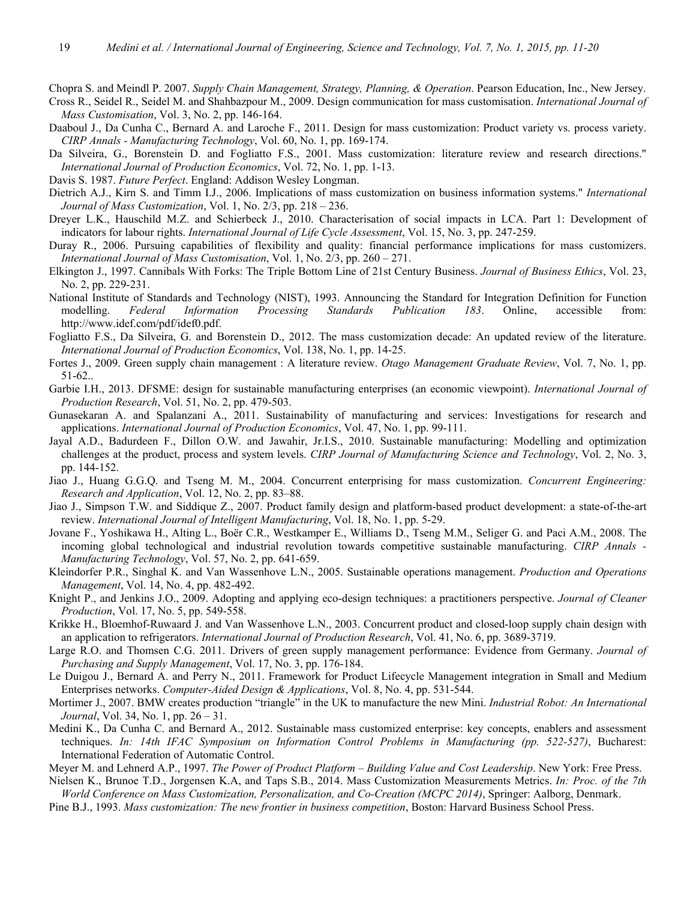Chopra S. and Meindl P. 2007. *Supply Chain Management, Strategy, Planning, & Operation*. Pearson Education, Inc., New Jersey.

- Cross R., Seidel R., Seidel M. and Shahbazpour M., 2009. Design communication for mass customisation. *International Journal of Mass Customisation*, Vol. 3, No. 2, pp. 146-164.
- Daaboul J., Da Cunha C., Bernard A. and Laroche F., 2011. Design for mass customization: Product variety vs. process variety. *CIRP Annals - Manufacturing Technology*, Vol. 60, No. 1, pp. 169-174.
- Da Silveira, G., Borenstein D. and Fogliatto F.S., 2001. Mass customization: literature review and research directions." *International Journal of Production Economics*, Vol. 72, No. 1, pp. 1-13.
- Davis S. 1987. *Future Perfect*. England: Addison Wesley Longman.
- Dietrich A.J., Kirn S. and Timm I.J., 2006. Implications of mass customization on business information systems." *International Journal of Mass Customization*, Vol. 1, No. 2/3, pp. 218 – 236.
- Dreyer L.K., Hauschild M.Z. and Schierbeck J., 2010. Characterisation of social impacts in LCA. Part 1: Development of indicators for labour rights. *International Journal of Life Cycle Assessment*, Vol. 15, No. 3, pp. 247-259.
- Duray R., 2006. Pursuing capabilities of flexibility and quality: financial performance implications for mass customizers. *International Journal of Mass Customisation*, Vol. 1, No. 2/3, pp. 260 – 271.
- Elkington J., 1997. Cannibals With Forks: The Triple Bottom Line of 21st Century Business. *Journal of Business Ethics*, Vol. 23, No. 2, pp. 229-231.
- National Institute of Standards and Technology (NIST), 1993. Announcing the Standard for Integration Definition for Function modelling. *Federal Information Processing Standards Publication 183*. Online, accessible from: http://www.idef.com/pdf/idef0.pdf.
- Fogliatto F.S., Da Silveira, G. and Borenstein D., 2012. The mass customization decade: An updated review of the literature. *International Journal of Production Economics*, Vol. 138, No. 1, pp. 14-25.
- Fortes J., 2009. Green supply chain management : A literature review. *Otago Management Graduate Review*, Vol. 7, No. 1, pp. 51-62..
- Garbie I.H., 2013. DFSME: design for sustainable manufacturing enterprises (an economic viewpoint). *International Journal of Production Research*, Vol. 51, No. 2, pp. 479-503.
- Gunasekaran A. and Spalanzani A., 2011. Sustainability of manufacturing and services: Investigations for research and applications. *International Journal of Production Economics*, Vol. 47, No. 1, pp. 99-111.
- Jayal A.D., Badurdeen F., Dillon O.W. and Jawahir, Jr.I.S., 2010. Sustainable manufacturing: Modelling and optimization challenges at the product, process and system levels. *CIRP Journal of Manufacturing Science and Technology*, Vol. 2, No. 3, pp. 144-152.
- Jiao J., Huang G.G.Q. and Tseng M. M., 2004. Concurrent enterprising for mass customization. *Concurrent Engineering: Research and Application*, Vol. 12, No. 2, pp. 83–88.
- Jiao J., Simpson T.W. and Siddique Z., 2007. Product family design and platform-based product development: a state-of-the-art review. *International Journal of Intelligent Manufacturing*, Vol. 18, No. 1, pp. 5-29.
- Jovane F., Yoshikawa H., Alting L., Boër C.R., Westkamper E., Williams D., Tseng M.M., Seliger G. and Paci A.M., 2008. The incoming global technological and industrial revolution towards competitive sustainable manufacturing. *CIRP Annals - Manufacturing Technology*, Vol. 57, No. 2, pp. 641-659.
- Kleindorfer P.R., Singhal K. and Van Wassenhove L.N., 2005. Sustainable operations management. *Production and Operations Management*, Vol. 14, No. 4, pp. 482-492.
- Knight P., and Jenkins J.O., 2009. Adopting and applying eco-design techniques: a practitioners perspective. *Journal of Cleaner Production*, Vol. 17, No. 5, pp. 549-558.
- Krikke H., Bloemhof-Ruwaard J. and Van Wassenhove L.N., 2003. Concurrent product and closed-loop supply chain design with an application to refrigerators. *International Journal of Production Research*, Vol. 41, No. 6, pp. 3689-3719.
- Large R.O. and Thomsen C.G. 2011. Drivers of green supply management performance: Evidence from Germany. *Journal of Purchasing and Supply Management*, Vol. 17, No. 3, pp. 176-184.
- Le Duigou J., Bernard A. and Perry N., 2011. Framework for Product Lifecycle Management integration in Small and Medium Enterprises networks. *Computer-Aided Design & Applications*, Vol. 8, No. 4, pp. 531-544.
- Mortimer J., 2007. BMW creates production "triangle" in the UK to manufacture the new Mini. *Industrial Robot: An International Journal*, Vol. 34, No. 1, pp. 26 – 31.
- Medini K., Da Cunha C. and Bernard A., 2012. Sustainable mass customized enterprise: key concepts, enablers and assessment techniques. *In: 14th IFAC Symposium on Information Control Problems in Manufacturing (pp. 522-527)*, Bucharest: International Federation of Automatic Control.
- Meyer M. and Lehnerd A.P., 1997. *The Power of Product Platform Building Value and Cost Leadership*. New York: Free Press.
- Nielsen K., Brunoe T.D., Jorgensen K.A, and Taps S.B., 2014. Mass Customization Measurements Metrics. *In: Proc. of the 7th World Conference on Mass Customization, Personalization, and Co-Creation (MCPC 2014)*, Springer: Aalborg, Denmark.
- Pine B.J., 1993. *Mass customization: The new frontier in business competition*, Boston: Harvard Business School Press.